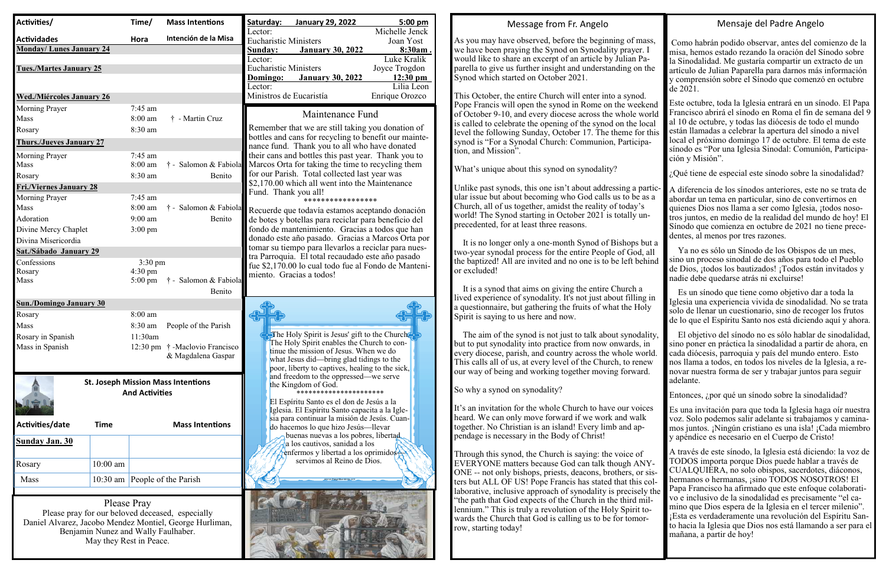## Message from Fr. Angelo

As you may have observed, before the beginning of mass, we have been praying the Synod on Synodality prayer. I would like to share an excerpt of an article by Julian Paparella to give us further insight and understanding on the Synod which started on October 2021.

This October, the entire Church will enter into a synod. Pope Francis will open the synod in Rome on the weekend of October 9-10, and every diocese across the whole world is called to celebrate the opening of the synod on the local level the following Sunday, October 17. The theme for this synod is "For a Synodal Church: Communion, Participation, and Mission".

What's unique about this synod on synodality?

 It is no longer only a one-month Synod of Bishops but a two-year synodal process for the entire People of God, all the baptized! All are invited and no one is to be left behind or excluded!

 It is a synod that aims on giving the entire Church a lived experience of synodality. It's not just about filling in a questionnaire, but gathering the fruits of what the Holy Spirit is saying to us here and now.

 The aim of the synod is not just to talk about synodality, but to put synodality into practice from now onwards, in every diocese, parish, and country across the whole world. This calls all of us, at every level of the Church, to renew our way of being and working together moving forward.

So why a synod on synodality?

It's an invitation for the whole Church to have our voices heard. We can only move forward if we work and walk together. No Christian is an island! Every limb and appendage is necessary in the Body of Christ!

Unlike past synods, this one isn't about addressing a particular issue but about becoming who God calls us to be as a Church, all of us together, amidst the reality of today's world! The Synod starting in October 2021 is totally unprecedented, for at least three reasons.A diferencia de los sínodos anteriores, este no se trata de abordar un tema en particular, sino de convertirnos en quienes Dios nos llama a ser como Iglesia, ¡todos nosotros juntos, en medio de la realidad del mundo de hoy! El Sínodo que comienza en octubre de 2021 no tiene precedentes, al menos por tres razones.

Through this synod, the Church is saying: the voice of EVERYONE matters because God can talk though ANY-ONE -- not only bishops, priests, deacons, brothers, or sisters but ALL OF US! Pope Francis has stated that this collaborative, inclusive approach of synodality is precisely the "the path that God expects of the Church in the third millennium." This is truly a revolution of the Holy Spirit towards the Church that God is calling us to be for tomorrow, starting today!



#### Mensaje del Padre Angelo

Como habrán podido observar, antes del comienzo de la misa, hemos estado rezando la oración del Sínodo sobre la Sinodalidad. Me gustaría compartir un extracto de un artículo de Julian Paparella para darnos más información y comprensión sobre el Sínodo que comenzó en octubre de 2021.

Este octubre, toda la Iglesia entrará en un sínodo. El Papa Francisco abrirá el sínodo en Roma el fin de semana del 9 al 10 de octubre, y todas las diócesis de todo el mundo están llamadas a celebrar la apertura del sínodo a nivel local el próximo domingo 17 de octubre. El tema de este sínodo es "Por una Iglesia Sinodal: Comunión, Participación y Misión".

¿Qué tiene de especial este sínodo sobre la sinodalidad?

 Ya no es sólo un Sínodo de los Obispos de un mes, sino un proceso sinodal de dos años para todo el Pueblo de Dios, ¡todos los bautizados! ¡Todos están invitados y nadie debe quedarse atrás ni excluirse!

 Es un sínodo que tiene como objetivo dar a toda la Iglesia una experiencia vivida de sinodalidad. No se trata solo de llenar un cuestionario, sino de recoger los frutos de lo que el Espíritu Santo nos está diciendo aquí y ahora.

 El objetivo del sínodo no es sólo hablar de sinodalidad, sino poner en práctica la sinodalidad a partir de ahora, en cada diócesis, parroquia y país del mundo entero. Esto nos llama a todos, en todos los niveles de la Iglesia, a renovar nuestra forma de ser y trabajar juntos para seguir adelante.

Entonces, ¿por qué un sínodo sobre la sinodalidad?

Es una invitación para que toda la Iglesia haga oír nuestra voz. Solo podemos salir adelante si trabajamos y caminamos juntos. ¡Ningún cristiano es una isla! ¡Cada miembro y apéndice es necesario en el Cuerpo de Cristo!

A través de este sínodo, la Iglesia está diciendo: la voz de TODOS importa porque Dios puede hablar a través de CUALQUIERA, no solo obispos, sacerdotes, diáconos, hermanos o hermanas, ¡sino TODOS NOSOTROS! El Papa Francisco ha afirmado que este enfoque colaborativo e inclusivo de la sinodalidad es precisamente "el camino que Dios espera de la Iglesia en el tercer milenio". ¡Esta es verdaderamente una revolución del Espíritu Santo hacia la Iglesia que Dios nos está llamando a ser para el mañana, a partir de hoy!

| Activities/                          |                                                                    | Time/              | <b>Mass Intentions</b>          | Saturday:                               | <b>January 29, 2022</b>                                                                                   | $5:00$ pm                        |
|--------------------------------------|--------------------------------------------------------------------|--------------------|---------------------------------|-----------------------------------------|-----------------------------------------------------------------------------------------------------------|----------------------------------|
| <b>Actividades</b>                   |                                                                    | Hora               | Intención de la Misa            | Lector:<br><b>Eucharistic Ministers</b> |                                                                                                           | Michelle Jenck<br>Joan Yost      |
| <b>Monday/Lunes January 24</b>       |                                                                    |                    |                                 | Sunday:                                 | <b>January 30, 2022</b>                                                                                   | 8:30am.                          |
|                                      |                                                                    |                    |                                 | Lector:                                 |                                                                                                           | Luke Kralik                      |
| <b>Tues./Martes January 25</b>       |                                                                    |                    |                                 | <b>Eucharistic Ministers</b>            |                                                                                                           | Joyce Trogdon                    |
|                                      |                                                                    |                    |                                 | Domingo:<br>Lector:                     | <b>January 30, 2022</b>                                                                                   | $12:30 \text{ pm}$<br>Lilia Leon |
| <b>Wed./Miércoles January 26</b>     |                                                                    |                    |                                 | Ministros de Eucaristía                 |                                                                                                           | Enrique Orozco                   |
| Morning Prayer                       |                                                                    | 7:45 am            |                                 |                                         |                                                                                                           |                                  |
| Mass                                 |                                                                    | 8:00 am            | † - Martin Cruz                 |                                         | Maintenance Fund                                                                                          |                                  |
| Rosary                               |                                                                    | 8:30 am            |                                 |                                         | Remember that we are still taking you donation of                                                         |                                  |
| <b>Thurs./Jueves January 27</b>      |                                                                    |                    |                                 |                                         | bottles and cans for recycling to benefit our mainte-<br>nance fund. Thank you to all who have donated    |                                  |
| Morning Prayer                       |                                                                    | 7:45 am            |                                 |                                         | their cans and bottles this past year. Thank you to                                                       |                                  |
| Mass                                 |                                                                    | $8:00$ am          |                                 |                                         | † - Salomon & Fabiola Marcos Orta for taking the time to recycling them                                   |                                  |
| Rosary                               |                                                                    | 8:30 am            | Benito                          |                                         | for our Parish. Total collected last year was                                                             |                                  |
| <b>Fri./Viernes January 28</b>       |                                                                    |                    |                                 |                                         | \$2,170.00 which all went into the Maintenance                                                            |                                  |
| Morning Prayer                       |                                                                    | 7:45 am            |                                 | Fund. Thank you all!                    | *****************                                                                                         |                                  |
| Mass                                 |                                                                    | $8:00$ am          | † - Salomon & Fabiola           |                                         | Recuerde que todavía estamos aceptando donación                                                           |                                  |
| Adoration                            |                                                                    | $9:00$ am          | Benito                          |                                         | de botes y botellas para reciclar para beneficio del                                                      |                                  |
| Divine Mercy Chaplet                 |                                                                    | $3:00 \text{ pm}$  |                                 |                                         | fondo de mantenimiento. Gracias a todos que han                                                           |                                  |
| Divina Misericordia                  |                                                                    |                    |                                 |                                         | donado este año pasado. Gracias a Marcos Orta por                                                         |                                  |
| Sat./Sábado January 29               |                                                                    |                    |                                 |                                         | tomar su tiempo para llevarlos a reciclar para nues-<br>tra Parroquia. El total recaudado este año pasado |                                  |
| Confessions                          |                                                                    | $3:30 \text{ pm}$  |                                 |                                         | fue \$2,170.00 lo cual todo fue al Fondo de Manteni-                                                      |                                  |
| Rosary                               |                                                                    | 4:30 pm            |                                 |                                         | miento. Gracias a todos!                                                                                  |                                  |
| Mass                                 |                                                                    | $5:00 \text{ pm}$  | † - Salomon & Fabiola<br>Benito |                                         |                                                                                                           |                                  |
| <b>Sun./Domingo January 30</b>       |                                                                    |                    |                                 |                                         |                                                                                                           |                                  |
| Rosary                               |                                                                    | 8:00 am            |                                 |                                         |                                                                                                           |                                  |
| Mass                                 |                                                                    |                    |                                 |                                         |                                                                                                           |                                  |
|                                      |                                                                    | 8:30 am<br>11:30am | People of the Parish            |                                         | The Holy Spirit is Jesus' gift to the Church.                                                             |                                  |
| Rosary in Spanish<br>Mass in Spanish |                                                                    | $12:30 \text{ pm}$ | † -Maclovio Francisco           |                                         | The Holy Spirit enables the Church to con-                                                                |                                  |
|                                      |                                                                    |                    | & Magdalena Gaspar              |                                         | tinue the mission of Jesus. When we do                                                                    |                                  |
|                                      |                                                                    |                    |                                 |                                         | what Jesus did—bring glad tidings to the<br>poor, liberty to captives, healing to the sick,               |                                  |
|                                      |                                                                    |                    |                                 |                                         | and freedom to the oppressed-we serve                                                                     |                                  |
|                                      | <b>St. Joseph Mission Mass Intentions</b><br><b>And Activities</b> |                    |                                 |                                         | the Kingdom of God.                                                                                       |                                  |
|                                      |                                                                    |                    |                                 |                                         | El Espíritu Santo es el don de Jesús a la                                                                 |                                  |
|                                      |                                                                    |                    |                                 |                                         | Iglesia. El Espíritu Santo capacita a la Igle-                                                            |                                  |
| Activities/date                      | <b>Time</b>                                                        |                    | <b>Mass Intentions</b>          |                                         | sia para continuar la misión de Jesús. Cuan-                                                              |                                  |
|                                      |                                                                    |                    |                                 |                                         | do hacemos lo que hizo Jesús—llevar<br>buenas nuevas a los pobres, libertad,                              |                                  |
| <b>Sunday Jan. 30</b>                |                                                                    |                    |                                 |                                         | a los cautivos, sanidad a los                                                                             |                                  |
|                                      |                                                                    |                    |                                 |                                         | enfermos y libertad a los oprimidos-<br>servimos al Reino de Dios.                                        |                                  |
| Rosary                               | $10:00$ am                                                         |                    |                                 |                                         |                                                                                                           |                                  |
| Mass                                 |                                                                    |                    | 10:30 am   People of the Parish |                                         |                                                                                                           |                                  |
|                                      |                                                                    |                    |                                 |                                         |                                                                                                           |                                  |

Please Pray Please pray for our beloved deceased, especially Daniel Alvarez, Jacobo Mendez Montiel, George Hurliman, Benjamin Nunez and Wally Faulhaber. May they Rest in Peace.